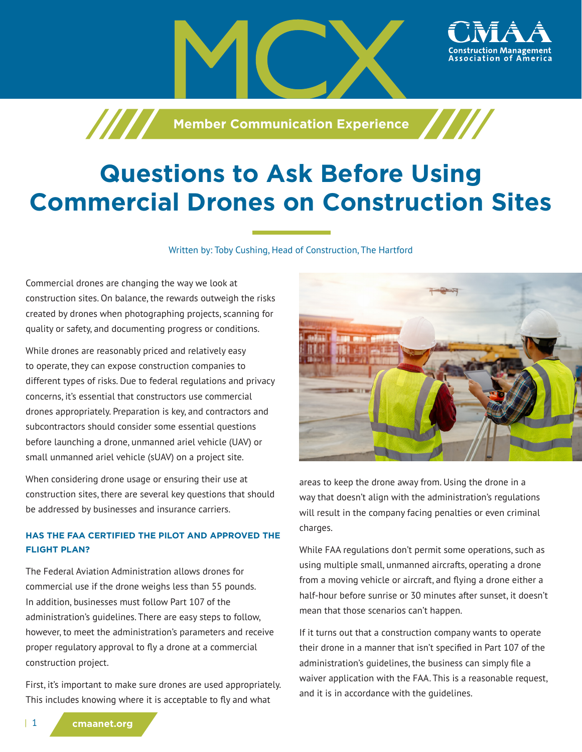

# **Questions to Ask Before Using Commercial Drones on Construction Sites**

Written by: Toby Cushing, Head of Construction, The Hartford

Commercial drones are changing the way we look at construction sites. On balance, the rewards outweigh the risks created by drones when photographing projects, scanning for quality or safety, and documenting progress or conditions.

While drones are reasonably priced and relatively easy to operate, they can expose construction companies to different types of risks. Due to federal regulations and privacy concerns, it's essential that constructors use commercial drones appropriately. Preparation is key, and contractors and subcontractors should consider some essential questions before launching a drone, unmanned ariel vehicle (UAV) or small unmanned ariel vehicle (sUAV) on a project site.

When considering drone usage or ensuring their use at construction sites, there are several key questions that should be addressed by businesses and insurance carriers.

## **HAS THE FAA CERTIFIED THE PILOT AND APPROVED THE FLIGHT PLAN?**

The Federal Aviation Administration allows drones for commercial use if the drone weighs less than 55 pounds. In addition, businesses must follow Part 107 of the administration's guidelines. There are easy steps to follow, however, to meet the administration's parameters and receive proper regulatory approval to fly a drone at a commercial construction project.

First, it's important to make sure drones are used appropriately. This includes knowing where it is acceptable to fly and what



ssociation of

areas to keep the drone away from. Using the drone in a way that doesn't align with the administration's regulations will result in the company facing penalties or even criminal charges.

While FAA regulations don't permit some operations, such as using multiple small, unmanned aircrafts, operating a drone from a moving vehicle or aircraft, and flying a drone either a half-hour before sunrise or 30 minutes after sunset, it doesn't mean that those scenarios can't happen.

If it turns out that a construction company wants to operate their drone in a manner that isn't specified in Part 107 of the administration's guidelines, the business can simply file a waiver application with the FAA. This is a reasonable request, and it is in accordance with the guidelines.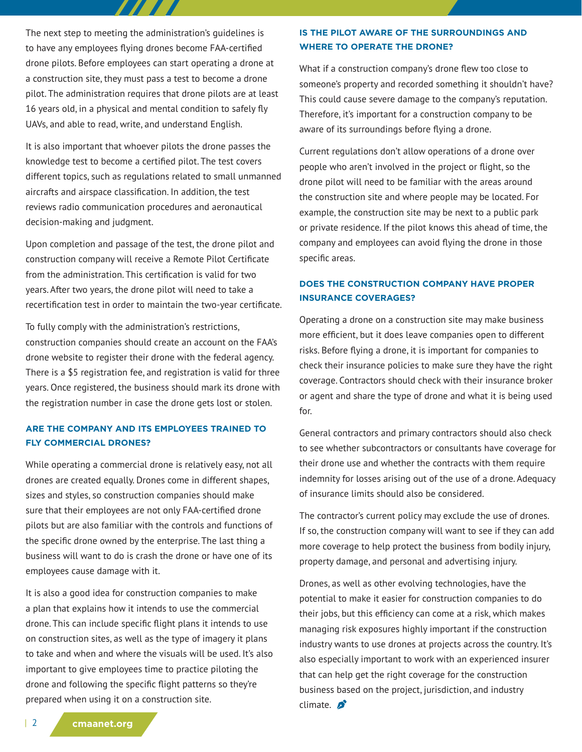The next step to meeting the administration's guidelines is to have any employees flying drones become FAA-certified drone pilots. Before employees can start operating a drone at a construction site, they must pass a test to become a drone pilot. The administration requires that drone pilots are at least 16 years old, in a physical and mental condition to safely fly UAVs, and able to read, write, and understand English.

7777

It is also important that whoever pilots the drone passes the knowledge test to become a certified pilot. The test covers different topics, such as regulations related to small unmanned aircrafts and airspace classification. In addition, the test reviews radio communication procedures and aeronautical decision-making and judgment.

Upon completion and passage of the test, the drone pilot and construction company will receive a Remote Pilot Certificate from the administration. This certification is valid for two years. After two years, the drone pilot will need to take a recertification test in order to maintain the two-year certificate.

To fully comply with the administration's restrictions, construction companies should create an account on the FAA's drone website to register their drone with the federal agency. There is a \$5 registration fee, and registration is valid for three years. Once registered, the business should mark its drone with the registration number in case the drone gets lost or stolen.

### **ARE THE COMPANY AND ITS EMPLOYEES TRAINED TO FLY COMMERCIAL DRONES?**

While operating a commercial drone is relatively easy, not all drones are created equally. Drones come in different shapes, sizes and styles, so construction companies should make sure that their employees are not only FAA-certified drone pilots but are also familiar with the controls and functions of the specific drone owned by the enterprise. The last thing a business will want to do is crash the drone or have one of its employees cause damage with it.

It is also a good idea for construction companies to make a plan that explains how it intends to use the commercial drone. This can include specific flight plans it intends to use on construction sites, as well as the type of imagery it plans to take and when and where the visuals will be used. It's also important to give employees time to practice piloting the drone and following the specific flight patterns so they're prepared when using it on a construction site.

#### **IS THE PILOT AWARE OF THE SURROUNDINGS AND WHERE TO OPERATE THE DRONE?**

What if a construction company's drone flew too close to someone's property and recorded something it shouldn't have? This could cause severe damage to the company's reputation. Therefore, it's important for a construction company to be aware of its surroundings before flying a drone.

Current regulations don't allow operations of a drone over people who aren't involved in the project or flight, so the drone pilot will need to be familiar with the areas around the construction site and where people may be located. For example, the construction site may be next to a public park or private residence. If the pilot knows this ahead of time, the company and employees can avoid flying the drone in those specific areas.

### **DOES THE CONSTRUCTION COMPANY HAVE PROPER INSURANCE COVERAGES?**

Operating a drone on a construction site may make business more efficient, but it does leave companies open to different risks. Before flying a drone, it is important for companies to check their insurance policies to make sure they have the right coverage. Contractors should check with their insurance broker or agent and share the type of drone and what it is being used for.

General contractors and primary contractors should also check to see whether subcontractors or consultants have coverage for their drone use and whether the contracts with them require indemnity for losses arising out of the use of a drone. Adequacy of insurance limits should also be considered.

The contractor's current policy may exclude the use of drones. If so, the construction company will want to see if they can add more coverage to help protect the business from bodily injury, property damage, and personal and advertising injury.

Drones, as well as other evolving technologies, have the potential to make it easier for construction companies to do their jobs, but this efficiency can come at a risk, which makes managing risk exposures highly important if the construction industry wants to use drones at projects across the country. It's also especially important to work with an experienced insurer that can help get the right coverage for the construction business based on the project, jurisdiction, and industry climate.  $\mathbf{\Omega}$